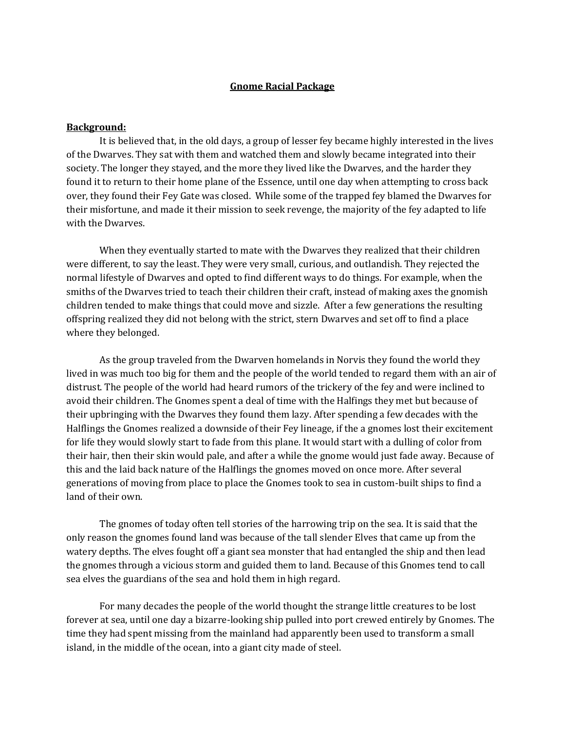### **Gnome Racial Package**

#### **Background:**

It is believed that, in the old days, a group of lesser fey became highly interested in the lives of the Dwarves. They sat with them and watched them and slowly became integrated into their society. The longer they stayed, and the more they lived like the Dwarves, and the harder they found it to return to their home plane of the Essence, until one day when attempting to cross back over, they found their Fey Gate was closed. While some of the trapped fey blamed the Dwarves for their misfortune, and made it their mission to seek revenge, the majority of the fey adapted to life with the Dwarves.

When they eventually started to mate with the Dwarves they realized that their children were different, to say the least. They were very small, curious, and outlandish. They rejected the normal lifestyle of Dwarves and opted to find different ways to do things. For example, when the smiths of the Dwarves tried to teach their children their craft, instead of making axes the gnomish children tended to make things that could move and sizzle. After a few generations the resulting offspring realized they did not belong with the strict, stern Dwarves and set off to find a place where they belonged.

 As the group traveled from the Dwarven homelands in Norvis they found the world they lived in was much too big for them and the people of the world tended to regard them with an air of distrust. The people of the world had heard rumors of the trickery of the fey and were inclined to avoid their children. The Gnomes spent a deal of time with the Halfings they met but because of their upbringing with the Dwarves they found them lazy. After spending a few decades with the Halflings the Gnomes realized a downside of their Fey lineage, if the a gnomes lost their excitement for life they would slowly start to fade from this plane. It would start with a dulling of color from their hair, then their skin would pale, and after a while the gnome would just fade away. Because of this and the laid back nature of the Halflings the gnomes moved on once more. After several generations of moving from place to place the Gnomes took to sea in custom-built ships to find a land of their own.

The gnomes of today often tell stories of the harrowing trip on the sea. It is said that the only reason the gnomes found land was because of the tall slender Elves that came up from the watery depths. The elves fought off a giant sea monster that had entangled the ship and then lead the gnomes through a vicious storm and guided them to land. Because of this Gnomes tend to call sea elves the guardians of the sea and hold them in high regard.

 For many decades the people of the world thought the strange little creatures to be lost forever at sea, until one day a bizarre-looking ship pulled into port crewed entirely by Gnomes. The time they had spent missing from the mainland had apparently been used to transform a small island, in the middle of the ocean, into a giant city made of steel.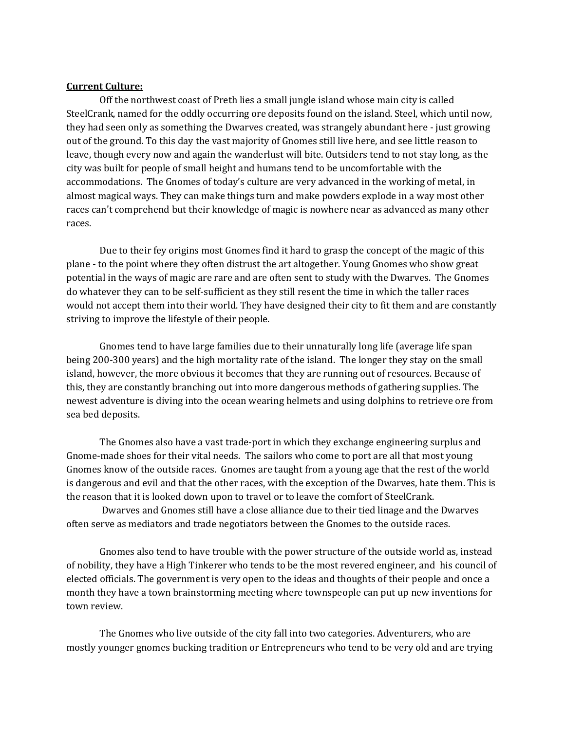#### **Current Culture:**

Off the northwest coast of Preth lies a small jungle island whose main city is called SteelCrank, named for the oddly occurring ore deposits found on the island. Steel, which until now, they had seen only as something the Dwarves created, was strangely abundant here - just growing out of the ground. To this day the vast majority of Gnomes still live here, and see little reason to leave, though every now and again the wanderlust will bite. Outsiders tend to not stay long, as the city was built for people of small height and humans tend to be uncomfortable with the accommodations. The Gnomes of today's culture are very advanced in the working of metal, in almost magical ways. They can make things turn and make powders explode in a way most other races can't comprehend but their knowledge of magic is nowhere near as advanced as many other races.

Due to their fey origins most Gnomes find it hard to grasp the concept of the magic of this plane - to the point where they often distrust the art altogether. Young Gnomes who show great potential in the ways of magic are rare and are often sent to study with the Dwarves. The Gnomes do whatever they can to be self-sufficient as they still resent the time in which the taller races would not accept them into their world. They have designed their city to fit them and are constantly striving to improve the lifestyle of their people.

 Gnomes tend to have large families due to their unnaturally long life (average life span being 200-300 years) and the high mortality rate of the island. The longer they stay on the small island, however, the more obvious it becomes that they are running out of resources. Because of this, they are constantly branching out into more dangerous methods of gathering supplies. The newest adventure is diving into the ocean wearing helmets and using dolphins to retrieve ore from sea bed deposits.

 The Gnomes also have a vast trade-port in which they exchange engineering surplus and Gnome-made shoes for their vital needs. The sailors who come to port are all that most young Gnomes know of the outside races. Gnomes are taught from a young age that the rest of the world is dangerous and evil and that the other races, with the exception of the Dwarves, hate them. This is the reason that it is looked down upon to travel or to leave the comfort of SteelCrank.

 Dwarves and Gnomes still have a close alliance due to their tied linage and the Dwarves often serve as mediators and trade negotiators between the Gnomes to the outside races.

 Gnomes also tend to have trouble with the power structure of the outside world as, instead of nobility, they have a High Tinkerer who tends to be the most revered engineer, and his council of elected officials. The government is very open to the ideas and thoughts of their people and once a month they have a town brainstorming meeting where townspeople can put up new inventions for town review.

 The Gnomes who live outside of the city fall into two categories. Adventurers, who are mostly younger gnomes bucking tradition or Entrepreneurs who tend to be very old and are trying